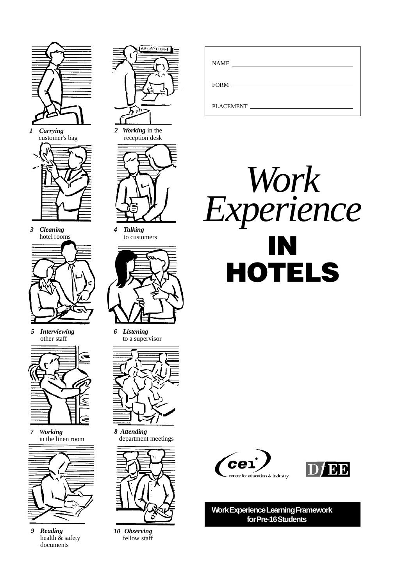

*1 Carrying* customer's bag

*3 Cleaning* hotel rooms

*5 Interviewing* other staff



*7 Working* in the linen room



*9 Reading* health & safety documents



*2 Working* in the reception desk



*4 Talking* to customers



*6 Listening* to a supervisor



*8 Attending* department meetings



*10 Observing* fellow staff

| <b>NAME</b>                                                 |  |
|-------------------------------------------------------------|--|
| <b>FORM</b><br>the control of the control of the control of |  |
| PLACEMENT                                                   |  |







**Work Experience Learning Framework for Pre-16 Students**